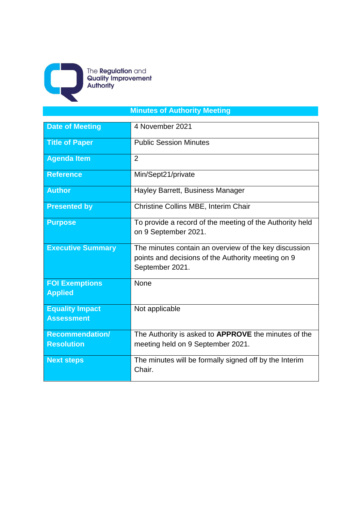

The **Regulation** and<br>**Quality Improvement**<br>**Authority** 

# **Minutes of Authority Meeting**

| <b>Date of Meeting</b>                      | 4 November 2021                                                                                                                |  |  |
|---------------------------------------------|--------------------------------------------------------------------------------------------------------------------------------|--|--|
| <b>Title of Paper</b>                       | <b>Public Session Minutes</b>                                                                                                  |  |  |
| <b>Agenda Item</b>                          | $\overline{2}$                                                                                                                 |  |  |
| <b>Reference</b>                            | Min/Sept21/private                                                                                                             |  |  |
| <b>Author</b>                               | Hayley Barrett, Business Manager                                                                                               |  |  |
| <b>Presented by</b>                         | Christine Collins MBE, Interim Chair                                                                                           |  |  |
| <b>Purpose</b>                              | To provide a record of the meeting of the Authority held<br>on 9 September 2021.                                               |  |  |
| <b>Executive Summary</b>                    | The minutes contain an overview of the key discussion<br>points and decisions of the Authority meeting on 9<br>September 2021. |  |  |
| <b>FOI Exemptions</b><br><b>Applied</b>     | None                                                                                                                           |  |  |
| <b>Equality Impact</b><br><b>Assessment</b> | Not applicable                                                                                                                 |  |  |
| <b>Recommendation/</b><br><b>Resolution</b> | The Authority is asked to APPROVE the minutes of the<br>meeting held on 9 September 2021.                                      |  |  |
| <b>Next steps</b>                           | The minutes will be formally signed off by the Interim<br>Chair.                                                               |  |  |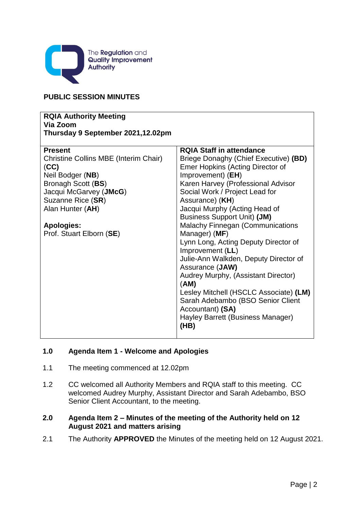

# **PUBLIC SESSION MINUTES**

| <b>RQIA Authority Meeting</b><br>Via Zoom<br>Thursday 9 September 2021,12.02pm |                                                          |
|--------------------------------------------------------------------------------|----------------------------------------------------------|
| <b>Present</b>                                                                 | <b>RQIA Staff in attendance</b>                          |
| Christine Collins MBE (Interim Chair)                                          | Briege Donaghy (Chief Executive) (BD)                    |
| (CC)                                                                           | <b>Emer Hopkins (Acting Director of</b>                  |
| Neil Bodger (NB)                                                               | Improvement) (EH)                                        |
| Bronagh Scott (BS)                                                             | Karen Harvey (Professional Advisor                       |
| Jacqui McGarvey (JMcG)                                                         | Social Work / Project Lead for                           |
| Suzanne Rice (SR)                                                              | Assurance) (KH)                                          |
| Alan Hunter (AH)                                                               | Jacqui Murphy (Acting Head of                            |
|                                                                                | <b>Business Support Unit) (JM)</b>                       |
| <b>Apologies:</b>                                                              | <b>Malachy Finnegan (Communications</b>                  |
| Prof. Stuart Elborn (SE)                                                       | Manager) (MF)                                            |
|                                                                                | Lynn Long, Acting Deputy Director of<br>Improvement (LL) |
|                                                                                | Julie-Ann Walkden, Deputy Director of                    |
|                                                                                | Assurance (JAW)                                          |
|                                                                                | Audrey Murphy, (Assistant Director)<br>(AM)              |
|                                                                                | Lesley Mitchell (HSCLC Associate) (LM)                   |
|                                                                                | Sarah Adebambo (BSO Senior Client                        |
|                                                                                | Accountant) (SA)                                         |
|                                                                                | Hayley Barrett (Business Manager)                        |
|                                                                                | (HB)                                                     |

# **1.0 Agenda Item 1 - Welcome and Apologies**

- 1.1 The meeting commenced at 12.02pm
- 1.2 CC welcomed all Authority Members and RQIA staff to this meeting. CC welcomed Audrey Murphy, Assistant Director and Sarah Adebambo, BSO Senior Client Accountant, to the meeting.

# **2.0 Agenda Item 2 – Minutes of the meeting of the Authority held on 12 August 2021 and matters arising**

2.1 The Authority **APPROVED** the Minutes of the meeting held on 12 August 2021.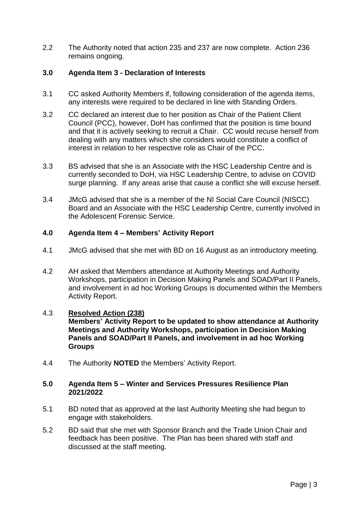2.2 The Authority noted that action 235 and 237 are now complete. Action 236 remains ongoing.

# **3.0 Agenda Item 3 - Declaration of Interests**

- 3.1 CC asked Authority Members if, following consideration of the agenda items, any interests were required to be declared in line with Standing Orders.
- 3.2 CC declared an interest due to her position as Chair of the Patient Client Council (PCC), however, DoH has confirmed that the position is time bound and that it is actively seeking to recruit a Chair. CC would recuse herself from dealing with any matters which she considers would constitute a conflict of interest in relation to her respective role as Chair of the PCC.
- 3.3 BS advised that she is an Associate with the HSC Leadership Centre and is currently seconded to DoH, via HSC Leadership Centre, to advise on COVID surge planning. If any areas arise that cause a conflict she will excuse herself.
- 3.4 JMcG advised that she is a member of the NI Social Care Council (NISCC) Board and an Associate with the HSC Leadership Centre, currently involved in the Adolescent Forensic Service.

#### **4.0 Agenda Item 4 – Members' Activity Report**

- 4.1 JMcG advised that she met with BD on 16 August as an introductory meeting.
- 4.2 AH asked that Members attendance at Authority Meetings and Authority Workshops, participation in Decision Making Panels and SOAD/Part II Panels, and involvement in ad hoc Working Groups is documented within the Members Activity Report.

#### 4.3 **Resolved Action (238)**

**Members' Activity Report to be updated to show attendance at Authority Meetings and Authority Workshops, participation in Decision Making Panels and SOAD/Part II Panels, and involvement in ad hoc Working Groups**

4.4 The Authority **NOTED** the Members' Activity Report.

#### **5.0 Agenda Item 5 – Winter and Services Pressures Resilience Plan 2021/2022**

- 5.1 BD noted that as approved at the last Authority Meeting she had begun to engage with stakeholders.
- 5.2 BD said that she met with Sponsor Branch and the Trade Union Chair and feedback has been positive. The Plan has been shared with staff and discussed at the staff meeting.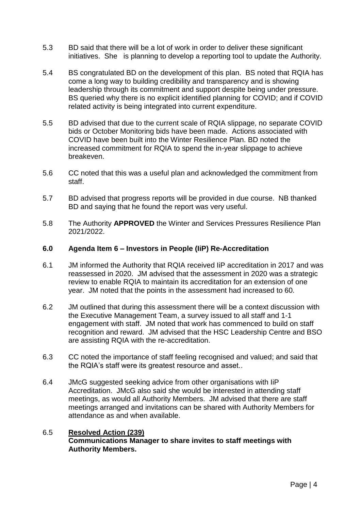- 5.3 BD said that there will be a lot of work in order to deliver these significant initiatives. She is planning to develop a reporting tool to update the Authority.
- 5.4 BS congratulated BD on the development of this plan. BS noted that RQIA has come a long way to building credibility and transparency and is showing leadership through its commitment and support despite being under pressure. BS queried why there is no explicit identified planning for COVID; and if COVID related activity is being integrated into current expenditure.
- 5.5 BD advised that due to the current scale of RQIA slippage, no separate COVID bids or October Monitoring bids have been made. Actions associated with COVID have been built into the Winter Resilience Plan. BD noted the increased commitment for RQIA to spend the in-year slippage to achieve breakeven.
- 5.6 CC noted that this was a useful plan and acknowledged the commitment from staff.
- 5.7 BD advised that progress reports will be provided in due course. NB thanked BD and saying that he found the report was very useful.
- 5.8 The Authority **APPROVED** the Winter and Services Pressures Resilience Plan 2021/2022.

#### **6.0 Agenda Item 6 – Investors in People (IiP) Re-Accreditation**

- 6.1 JM informed the Authority that RQIA received IiP accreditation in 2017 and was reassessed in 2020. JM advised that the assessment in 2020 was a strategic review to enable RQIA to maintain its accreditation for an extension of one year. JM noted that the points in the assessment had increased to 60.
- 6.2 JM outlined that during this assessment there will be a context discussion with the Executive Management Team, a survey issued to all staff and 1-1 engagement with staff. JM noted that work has commenced to build on staff recognition and reward. JM advised that the HSC Leadership Centre and BSO are assisting RQIA with the re-accreditation.
- 6.3 CC noted the importance of staff feeling recognised and valued; and said that the RQIA's staff were its greatest resource and asset..
- 6.4 JMcG suggested seeking advice from other organisations with IiP Accreditation. JMcG also said she would be interested in attending staff meetings, as would all Authority Members. JM advised that there are staff meetings arranged and invitations can be shared with Authority Members for attendance as and when available.

#### 6.5 **Resolved Action (239) Communications Manager to share invites to staff meetings with Authority Members.**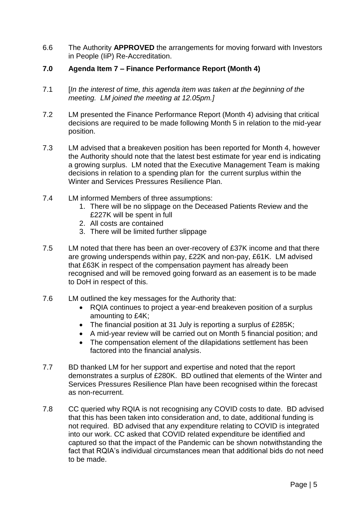6.6 The Authority **APPROVED** the arrangements for moving forward with Investors in People (IiP) Re-Accreditation.

### **7.0 Agenda Item 7 – Finance Performance Report (Month 4)**

- 7.1 [*In the interest of time, this agenda item was taken at the beginning of the meeting. LM joined the meeting at 12.05pm.]*
- 7.2 LM presented the Finance Performance Report (Month 4) advising that critical decisions are required to be made following Month 5 in relation to the mid-year position.
- 7.3 LM advised that a breakeven position has been reported for Month 4, however the Authority should note that the latest best estimate for year end is indicating a growing surplus. LM noted that the Executive Management Team is making decisions in relation to a spending plan for the current surplus within the Winter and Services Pressures Resilience Plan.
- 7.4 LM informed Members of three assumptions:
	- 1. There will be no slippage on the Deceased Patients Review and the £227K will be spent in full
	- 2. All costs are contained
	- 3. There will be limited further slippage
- 7.5 LM noted that there has been an over-recovery of £37K income and that there are growing underspends within pay, £22K and non-pay, £61K. LM advised that £63K in respect of the compensation payment has already been recognised and will be removed going forward as an easement is to be made to DoH in respect of this.
- 7.6 LM outlined the key messages for the Authority that:
	- RQIA continues to project a year-end breakeven position of a surplus amounting to £4K;
	- The financial position at 31 July is reporting a surplus of £285K;
	- A mid-year review will be carried out on Month 5 financial position; and
	- The compensation element of the dilapidations settlement has been factored into the financial analysis.
- 7.7 BD thanked LM for her support and expertise and noted that the report demonstrates a surplus of £280K. BD outlined that elements of the Winter and Services Pressures Resilience Plan have been recognised within the forecast as non-recurrent.
- 7.8 CC queried why RQIA is not recognising any COVID costs to date. BD advised that this has been taken into consideration and, to date, additional funding is not required. BD advised that any expenditure relating to COVID is integrated into our work. CC asked that COVID related expenditure be identified and captured so that the impact of the Pandemic can be shown notwithstanding the fact that RQIA's individual circumstances mean that additional bids do not need to be made.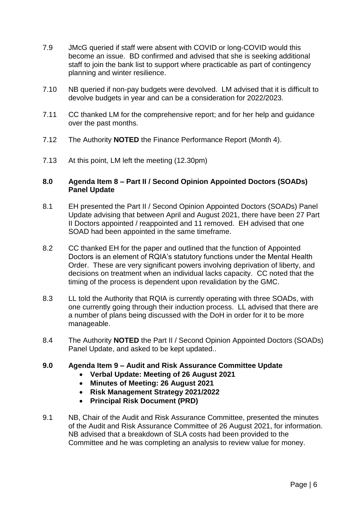- 7.9 JMcG queried if staff were absent with COVID or long-COVID would this become an issue. BD confirmed and advised that she is seeking additional staff to join the bank list to support where practicable as part of contingency planning and winter resilience.
- 7.10 NB queried if non-pay budgets were devolved. LM advised that it is difficult to devolve budgets in year and can be a consideration for 2022/2023.
- 7.11 CC thanked LM for the comprehensive report; and for her help and guidance over the past months.
- 7.12 The Authority **NOTED** the Finance Performance Report (Month 4).
- 7.13 At this point, LM left the meeting (12.30pm)

#### **8.0 Agenda Item 8 – Part II / Second Opinion Appointed Doctors (SOADs) Panel Update**

- 8.1 EH presented the Part II / Second Opinion Appointed Doctors (SOADs) Panel Update advising that between April and August 2021, there have been 27 Part II Doctors appointed / reappointed and 11 removed. EH advised that one SOAD had been appointed in the same timeframe.
- 8.2 CC thanked EH for the paper and outlined that the function of Appointed Doctors is an element of RQIA's statutory functions under the Mental Health Order. These are very significant powers involving deprivation of liberty, and decisions on treatment when an individual lacks capacity. CC noted that the timing of the process is dependent upon revalidation by the GMC.
- 8.3 LL told the Authority that RQIA is currently operating with three SOADs, with one currently going through their induction process. LL advised that there are a number of plans being discussed with the DoH in order for it to be more manageable.
- 8.4 The Authority **NOTED** the Part II / Second Opinion Appointed Doctors (SOADs) Panel Update, and asked to be kept updated..

#### **9.0 Agenda Item 9 – Audit and Risk Assurance Committee Update**

- **Verbal Update: Meeting of 26 August 2021**
- **Minutes of Meeting: 26 August 2021**
- **Risk Management Strategy 2021/2022**
- **Principal Risk Document (PRD)**
- 9.1 NB, Chair of the Audit and Risk Assurance Committee, presented the minutes of the Audit and Risk Assurance Committee of 26 August 2021, for information. NB advised that a breakdown of SLA costs had been provided to the Committee and he was completing an analysis to review value for money.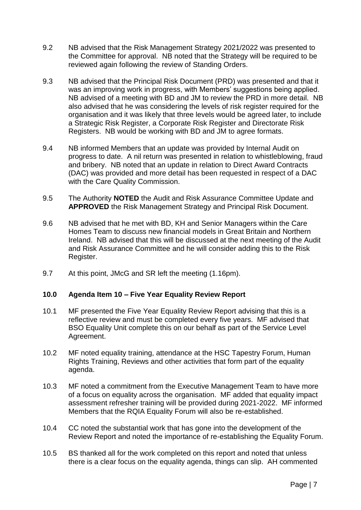- 9.2 NB advised that the Risk Management Strategy 2021/2022 was presented to the Committee for approval. NB noted that the Strategy will be required to be reviewed again following the review of Standing Orders.
- 9.3 NB advised that the Principal Risk Document (PRD) was presented and that it was an improving work in progress, with Members' suggestions being applied. NB advised of a meeting with BD and JM to review the PRD in more detail. NB also advised that he was considering the levels of risk register required for the organisation and it was likely that three levels would be agreed later, to include a Strategic Risk Register, a Corporate Risk Register and Directorate Risk Registers. NB would be working with BD and JM to agree formats.
- 9.4 NB informed Members that an update was provided by Internal Audit on progress to date. A nil return was presented in relation to whistleblowing, fraud and bribery. NB noted that an update in relation to Direct Award Contracts (DAC) was provided and more detail has been requested in respect of a DAC with the Care Quality Commission.
- 9.5 The Authority **NOTED** the Audit and Risk Assurance Committee Update and **APPROVED** the Risk Management Strategy and Principal Risk Document.
- 9.6 NB advised that he met with BD, KH and Senior Managers within the Care Homes Team to discuss new financial models in Great Britain and Northern Ireland. NB advised that this will be discussed at the next meeting of the Audit and Risk Assurance Committee and he will consider adding this to the Risk Register.
- 9.7 At this point, JMcG and SR left the meeting (1.16pm).

# **10.0 Agenda Item 10 – Five Year Equality Review Report**

- 10.1 MF presented the Five Year Equality Review Report advising that this is a reflective review and must be completed every five years. MF advised that BSO Equality Unit complete this on our behalf as part of the Service Level Agreement.
- 10.2 MF noted equality training, attendance at the HSC Tapestry Forum, Human Rights Training, Reviews and other activities that form part of the equality agenda.
- 10.3 MF noted a commitment from the Executive Management Team to have more of a focus on equality across the organisation. MF added that equality impact assessment refresher training will be provided during 2021-2022. MF informed Members that the RQIA Equality Forum will also be re-established.
- 10.4 CC noted the substantial work that has gone into the development of the Review Report and noted the importance of re-establishing the Equality Forum.
- 10.5 BS thanked all for the work completed on this report and noted that unless there is a clear focus on the equality agenda, things can slip. AH commented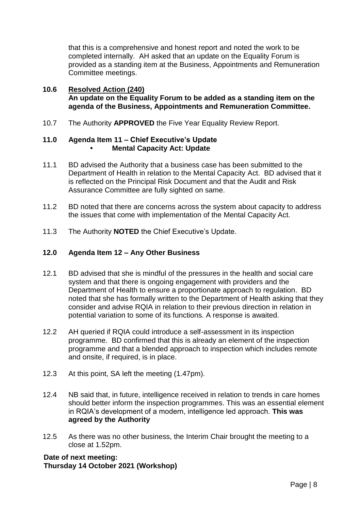that this is a comprehensive and honest report and noted the work to be completed internally. AH asked that an update on the Equality Forum is provided as a standing item at the Business, Appointments and Remuneration Committee meetings.

#### **10.6 Resolved Action (240) An update on the Equality Forum to be added as a standing item on the agenda of the Business, Appointments and Remuneration Committee.**

10.7 The Authority **APPROVED** the Five Year Equality Review Report.

# **11.0 Agenda Item 11 – Chief Executive's Update • Mental Capacity Act: Update**

- 11.1 BD advised the Authority that a business case has been submitted to the Department of Health in relation to the Mental Capacity Act. BD advised that it is reflected on the Principal Risk Document and that the Audit and Risk Assurance Committee are fully sighted on same.
- 11.2 BD noted that there are concerns across the system about capacity to address the issues that come with implementation of the Mental Capacity Act.
- 11.3 The Authority **NOTED** the Chief Executive's Update.

# **12.0 Agenda Item 12 – Any Other Business**

- 12.1 BD advised that she is mindful of the pressures in the health and social care system and that there is ongoing engagement with providers and the Department of Health to ensure a proportionate approach to regulation. BD noted that she has formally written to the Department of Health asking that they consider and advise RQIA in relation to their previous direction in relation in potential variation to some of its functions. A response is awaited.
- 12.2 AH queried if RQIA could introduce a self-assessment in its inspection programme. BD confirmed that this is already an element of the inspection programme and that a blended approach to inspection which includes remote and onsite, if required, is in place.
- 12.3 At this point, SA left the meeting (1.47pm).
- 12.4 NB said that, in future, intelligence received in relation to trends in care homes should better inform the inspection programmes. This was an essential element in RQIA's development of a modern, intelligence led approach. **This was agreed by the Authority**
- 12.5 As there was no other business, the Interim Chair brought the meeting to a close at 1.52pm.

**Date of next meeting: Thursday 14 October 2021 (Workshop)**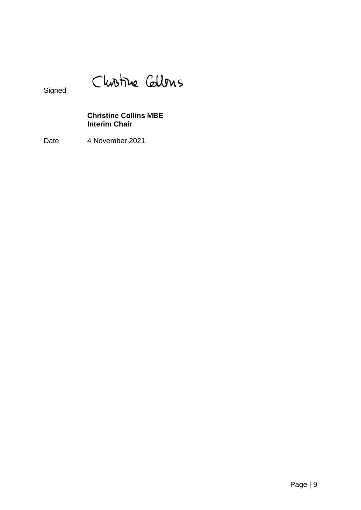Christine Callons

Signed

# **Christine Collins MBE Interim Chair**

Date 4 November 2021